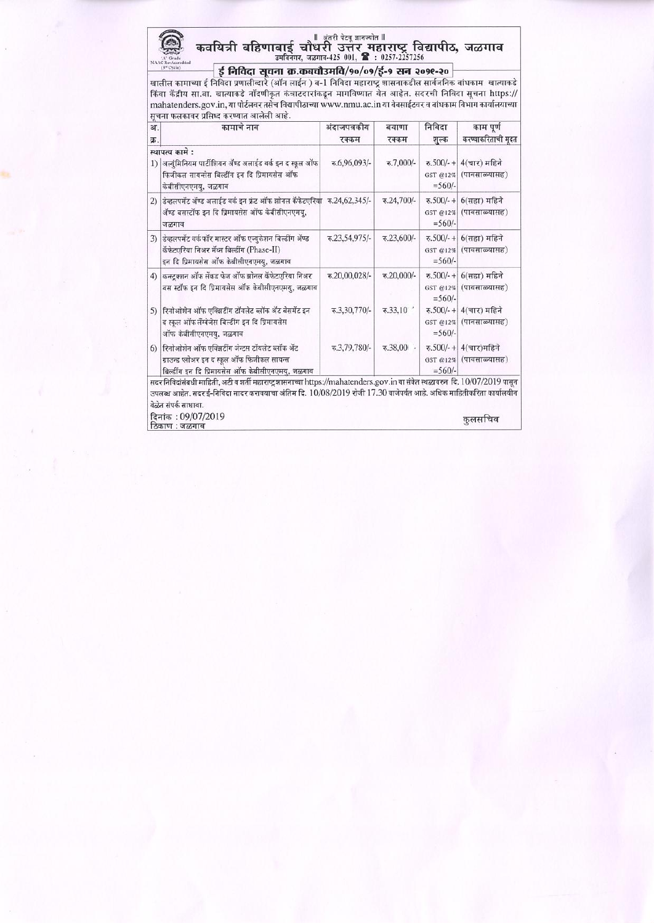# ण अंतरी पेटवू ज्ञानज्योत ॥<br>कवयित्री बहिणाबाई चौधरी उत्तर महाराष्ट्र विद्यापीठ, जळगाव<br>ब्यूजिवनगर, जळगाव-425 001, डि : 0257-2257256

 $\frac{1}{(3^{4} \text{ C}) \text{ C}}$   $\frac{1}{(3^{4} \text{ C}) \text{ C}}$   $\frac{1}{(3^{4} \text{ C}) \text{ C}}$   $\frac{1}{(3^{4} \text{ C}) \text{ C}}$   $\frac{1}{(3^{4} \text{ C}) \text{ C}}$   $\frac{1}{(3^{4} \text{ C}) \text{ C}}$   $\frac{1}{(3^{4} \text{ C}) \text{ C}}$   $\frac{1}{(3^{4} \text{ C}) \text{ C}}$   $\frac{1}{(3^{4} \text{ C}) \text{ C}}$   $\frac{1}{(3^{4} \text$ सचना फलकावर प्रसिध्द करण्यात आलेली आहे.

| अ.<br>क्र. | कामाचे नाव                                                                                                                                                                                                                                                                  | अंदाजपत्रकीय<br>रक्कम | बयाणा<br>रक्कम       | निविदा<br>शुल्क | काम पूर्ण<br>करण्याकरिताची मूदत                   |
|------------|-----------------------------------------------------------------------------------------------------------------------------------------------------------------------------------------------------------------------------------------------------------------------------|-----------------------|----------------------|-----------------|---------------------------------------------------|
|            | स्थापत्य कामे :<br>1) अल्युंमिनियम पार्टीशियन ॲण्ड अलाईड वर्क इन द स्कूल ऑफ<br>फिजीकल सायन्सेस बिल्डींग इन दि प्रिमायसेस ऑफ<br>केबीसीएनएमयु, जळगाव                                                                                                                          | रु.6,96,093/-         | रु.7,000/-           | $=$ 560/-       | रु.500/-+ 4(चार) महिने<br>GST @12% (पावसाळ्यासह)  |
|            | 2) डिव्हलपमेंट ॲण्ड अलाईड वर्क इन फ्रंट ऑफ झोनल कॅफेटएरियां रु.24,62,345/-<br>अँण्ड बसस्टॉफ इन दि प्रिमायसेस ऑफ केबीसीएनएमयु,<br>जळगाव                                                                                                                                      |                       | रु.24,700/-          | $=$ 560/-       | रु.500/- + 6(सहा) महिने<br>GST @12% (पावसाळ्यासह) |
|            | 3) डेव्हलपमेंट वर्कफॉर मास्टर ऑफ एज्युकेशन बिल्डींग ॲण्ड<br>कॅफेटएरिया निअर मॅथ्स बिल्डींग (Phase-II)<br>इन दि प्रिमायसेस ऑफ केबीसीएनएमय्, जळगाव                                                                                                                            | रु.23,54,975/-        | रु.23,600/-          | $=$ 560/-       | रु.500/-+ 6(सहा) महिने<br>GST @12% (पावसाळ्यासह)  |
| 4)         | कन्स्टक्शन ऑफ सेंकड फेज ऑफ झोनल कॅफेटएरिया निअर<br>बस स्टॉफ इन दि प्रिमायसेस ऑफ केबीसीएनएमयु, जळगाव                                                                                                                                                                         | रु.20,00,028/-        | रु.20,000/-          | $=$ 560/-       | रु.500/-+ 6(सहा) महिने<br>GST @12% (पावसाळ्यासह)  |
| 5)         | रिनोओशेन ऑफ एक्झिटींग टॉयलेट ब्लॉक ॲट बेसमेंट इन<br>द स्कूल ऑफलॅंग्वेजेस बिल्डींग इन दि प्रिमायसेस<br>ऑफ केबीसीएनएमय्, जळगाव                                                                                                                                                | ₹.3,30,770/-          | $\overline{6.33,10}$ | $=$ 560/-       | रु.500/-+ 4(चार) महिने<br>GST @12% (पावसाळ्यासह)  |
| 6)         | रिनोओशेन ऑफ एक्झिटींग जेन्टस टॉयलेट ब्लॉक ॲट<br>ग्राउन्ड प्लोअर इन द स्कूल ऑफ फिजीकल सायन्स<br>बिल्डींग इन दि प्रिमायसेस ऑफ केबीसीएनएमय्, जळगाव                                                                                                                             | रु.3,79,780/-         | $-00.85.5$           | $=$ 560/-       | रु.500/- + 4(चार)महिने<br>GST @12% (पावसाळ्यासह)  |
|            | सदर निविदांसंबधी माहिती, अटी व शर्ती महाराष्ट्र शासनाच्या https://mahatenders.gov.in या संकेत स्थळावरुन दि. 10/07/2019 पासून<br>उपलब्ध आहेत. सदर ई-निविदा सादर करावयाचा अंतिम दि. 10/08/2019 रोजी 17.30 वाजेपर्यंत आहे. अधिक माहितीकरिता कार्यालयीन<br>वेळेत संपर्क साधावा. |                       |                      |                 |                                                   |
|            | दिनांक: 09/07/2019<br>ठिकाण : जळगाव                                                                                                                                                                                                                                         |                       |                      |                 | कुलसचिव                                           |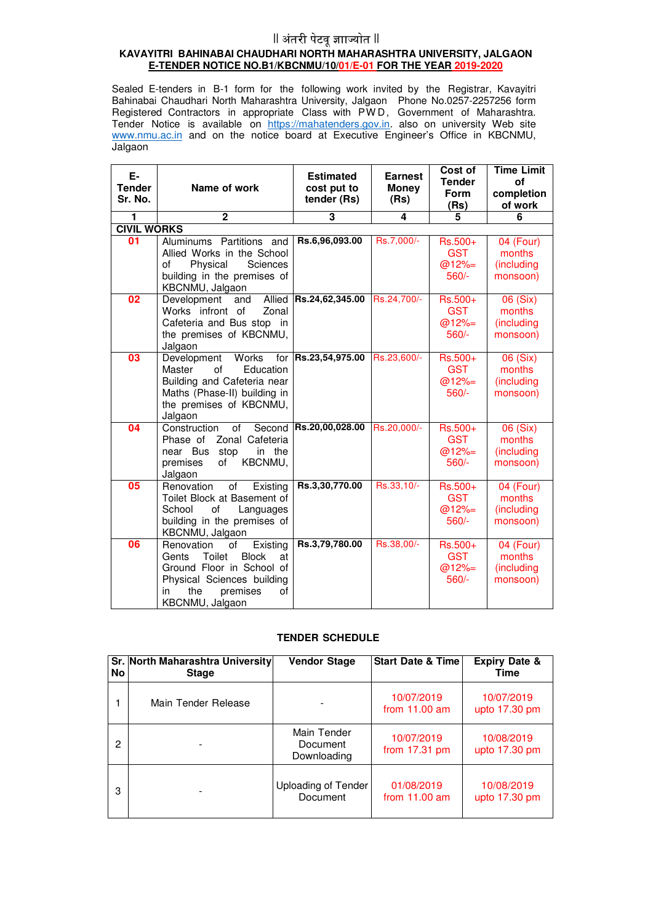## $\parallel$  अंतरी पेटवू ज्ञाज्योत  $\parallel$

#### **KAVAYITRI BAHINABAI CHAUDHARI NORTH MAHARASHTRA UNIVERSITY, JALGAON E-TENDER NOTICE NO.B1/KBCNMU/10/01/E-01 FOR THE YEAR 2019-2020**

Sealed E-tenders in B-1 form for the following work invited by the Registrar, Kavayitri Bahinabai Chaudhari North Maharashtra University, Jalgaon Phone No.0257-2257256 form Registered Contractors in appropriate Class with PW D, Government of Maharashtra. Tender Notice is available on https://mahatenders.gov.in. also on university Web site www.nmu.ac.in and on the notice board at Executive Engineer's Office in KBCNMU, Jalgaon

| Е-<br><b>Tender</b><br>Sr. No.      | Name of work                                                                                                                                                                       | <b>Estimated</b><br>cost put to<br>tender (Rs) | <b>Earnest</b><br><b>Money</b><br>(Rs) | Cost of<br><b>Tender</b><br>Form<br>(Rs)     | <b>Time Limit</b><br>οf<br>completion<br>of work |
|-------------------------------------|------------------------------------------------------------------------------------------------------------------------------------------------------------------------------------|------------------------------------------------|----------------------------------------|----------------------------------------------|--------------------------------------------------|
| 1                                   | $\mathbf{2}$                                                                                                                                                                       | $\overline{\mathbf{3}}$                        | 4                                      | 5                                            | 6                                                |
| <b>CIVIL WORKS</b>                  |                                                                                                                                                                                    |                                                |                                        |                                              |                                                  |
| 01                                  | Aluminums Partitions and<br>Allied Works in the School<br>Physical<br><b>Sciences</b><br>of<br>building in the premises of<br>KBCNMU, Jalgaon                                      | Rs.6,96,093.00                                 | Rs.7,000/-                             | Rs.500+<br><b>GST</b><br>$@12\%=$<br>$560/-$ | 04 (Four)<br>months<br>(including<br>monsoon)    |
| 02                                  | Allied<br>Development<br>and<br>Works infront of<br>Zonal<br>Cafeteria and Bus stop in<br>the premises of KBCNMU,<br>Jalgaon                                                       | Rs.24,62,345.00                                | Rs.24,700/-                            | Rs.500+<br><b>GST</b><br>$@12\%=$<br>$560/-$ | 06 (Six)<br>months<br>(including<br>monsoon)     |
| 03                                  | Development<br>Works<br>for<br>Master<br>Education<br>of<br>Building and Cafeteria near<br>Maths (Phase-II) building in<br>the premises of KBCNMU,<br>Jalgaon                      | Rs.23,54,975.00                                | Rs.23,600/-                            | Rs.500+<br><b>GST</b><br>$@12\%=$<br>$560/-$ | 06 (Six)<br>months<br>(including<br>monsoon)     |
| 04                                  | Construction<br>of<br>Second<br>Zonal Cafeteria<br>Phase of<br>near Bus stop<br>in the<br>premises<br>KBCNMU,<br>οf<br>Jalgaon                                                     | Rs.20,00,028.00                                | Rs.20,000/-                            | Rs.500+<br><b>GST</b><br>$@12\%=$<br>$560/-$ | 06 (Six)<br>months<br>(including<br>monsoon)     |
| $\overline{\overline{\textbf{05}}}$ | Renovation<br>of<br>Existing<br>Toilet Block at Basement of<br>of<br>School<br>Languages<br>building in the premises of<br>KBCNMU, Jalgaon                                         | Rs.3,30,770.00                                 | Rs.33,10/-                             | Rs.500+<br><b>GST</b><br>$@12\%=$<br>$560/-$ | 04 (Four)<br>months<br>(including<br>monsoon)    |
| 06                                  | Renovation<br>Existing<br>of<br>Toilet<br><b>Block</b><br>Gents<br>at<br>Ground Floor in School of<br>Physical Sciences building<br>in<br>the<br>premises<br>of<br>KBCNMU, Jalgaon | Rs.3,79,780.00                                 | Rs.38,00/-                             | Rs.500+<br><b>GST</b><br>$@12%=$<br>560/-    | 04 (Four)<br>months<br>(including<br>monsoon)    |

### **TENDER SCHEDULE**

| No | Sr. North Maharashtra University<br><b>Stage</b> | <b>Vendor Stage</b>                    | <b>Start Date &amp; Time</b>  | <b>Expiry Date &amp;</b><br>Time |
|----|--------------------------------------------------|----------------------------------------|-------------------------------|----------------------------------|
|    | Main Tender Release                              |                                        | 10/07/2019<br>from $11.00$ am | 10/07/2019<br>upto 17.30 pm      |
| 2  |                                                  | Main Tender<br>Document<br>Downloading | 10/07/2019<br>from $17.31$ pm | 10/08/2019<br>upto 17.30 pm      |
| з  |                                                  | Uploading of Tender<br>Document        | 01/08/2019<br>from $11.00$ am | 10/08/2019<br>upto 17.30 pm      |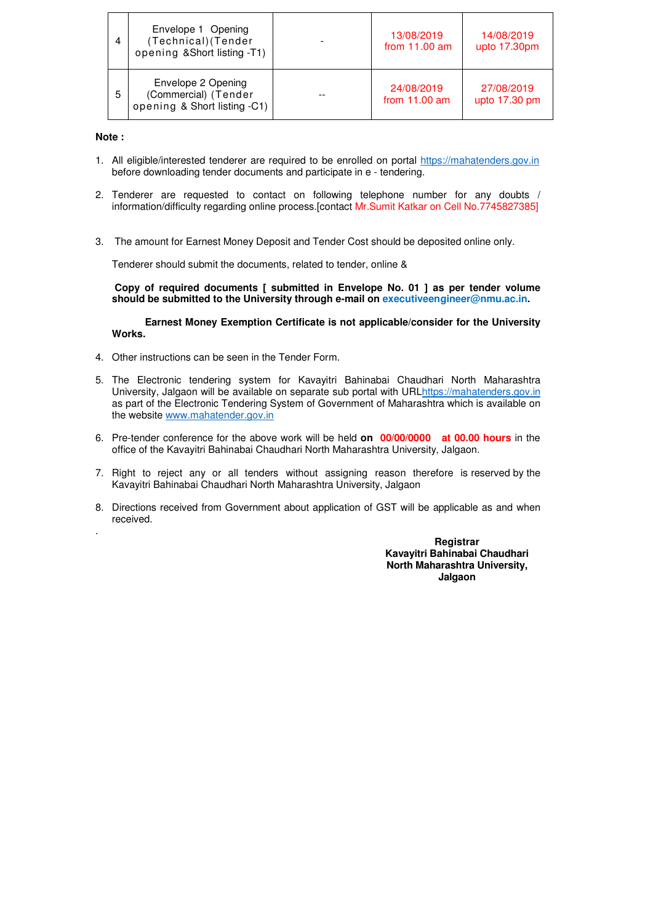| 4 | Envelope 1 Opening<br>(Technical) (Tender<br>opening & Short listing -T1)  | 13/08/2019<br>from $11.00$ am | 14/08/2019<br>upto 17.30pm  |
|---|----------------------------------------------------------------------------|-------------------------------|-----------------------------|
| 5 | Envelope 2 Opening<br>(Commercial) (Tender<br>opening & Short listing -C1) | 24/08/2019<br>from $11.00$ am | 27/08/2019<br>upto 17.30 pm |

#### **Note :**

.

- 1. All eligible/interested tenderer are required to be enrolled on portal https://mahatenders.gov.in before downloading tender documents and participate in e - tendering.
- 2. Tenderer are requested to contact on following telephone number for any doubts / information/difficulty regarding online process.[contact Mr.Sumit Katkar on Cell No.7745827385]
- 3. The amount for Earnest Money Deposit and Tender Cost should be deposited online only.

Tenderer should submit the documents, related to tender, online &

 **Copy of required documents [ submitted in Envelope No. 01 ] as per tender volume should be submitted to the University through e-mail on executiveengineer@nmu.ac.in.** 

**Earnest Money Exemption Certificate is not applicable/consider for the University Works.** 

- 4. Other instructions can be seen in the Tender Form.
- 5. The Electronic tendering system for Kavayitri Bahinabai Chaudhari North Maharashtra University, Jalgaon will be available on separate sub portal with URLhttps://mahatenders.gov.in as part of the Electronic Tendering System of Government of Maharashtra which is available on the website www.mahatender.gov.in
- 6. Pre-tender conference for the above work will be held **on 00/00/0000 at 00.00 hours** in the office of the Kavayitri Bahinabai Chaudhari North Maharashtra University, Jalgaon.
- 7. Right to reject any or all tenders without assigning reason therefore is reserved by the Kavayitri Bahinabai Chaudhari North Maharashtra University, Jalgaon
- 8. Directions received from Government about application of GST will be applicable as and when received.

**Registrar Kavayitri Bahinabai Chaudhari North Maharashtra University, Jalgaon**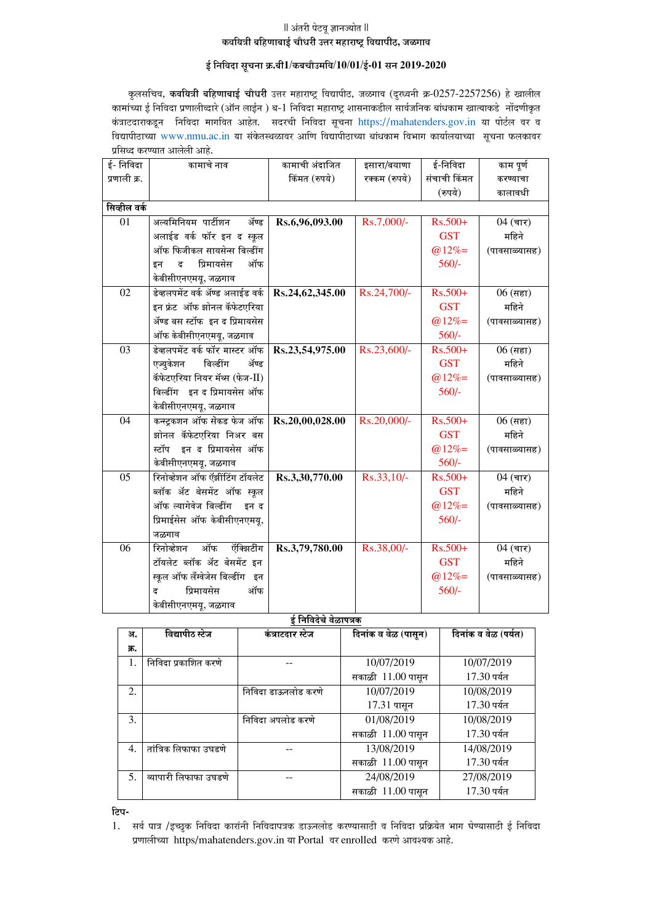#### $||$  अंतरी पेटवू ज्ञानज्योत ॥ कवयित्री बहिणाबाई चौधरी उत्तर महाराष्ट्र विद्यापीठ, जळगाव

#### $\frac{1}{5}$  निविदा सूचना क्र.बी1/कबचौउमवि/10/01/ई-01 सन 2019-2020

कुलसचिव, कवयित्री बहिणाबाई चौधरी उत्तर महाराष्ट्र विद्यापीठ, जळगाव (दुरध्वनी क्र-0257-2257256) हे खालील कामांच्या ई निविदा प्रणालीव्दारे (ऑन लाईन) ब-1 निविदा महाराष्ट्र शासनाकडील सार्वजनिक बांधकाम खात्याकडे नोंदणीकृत कंत्राटदाराकडून निविदा मागवित आहेत. सदरची निविदा सूचना https://mahatenders.gov.in या पोर्टल वर व विद्यापीठाच्या www.nmu.ac.in या संकेतस्थळावर आणि विद्यापीठाच्या बांधकाम विभाग कार्यालयाच्या सूचना फलकावर प्रसिध्द करण्यात आलेली आहे.

| ई- निविदा    | कामाचे नाव                       | कामाची अंदाजित  | इसारा/बयाणा   | ई-निविदा     | काम पूर्ण     |
|--------------|----------------------------------|-----------------|---------------|--------------|---------------|
| प्रणाली क्र. |                                  | किंमत (रुपये)   | रक्कम (रुपये) | संचाची किंमत | करण्याचा      |
|              |                                  |                 |               | (रुपये)      | कालावधी       |
| सिव्हील वर्क |                                  |                 |               |              |               |
| 01           | अल्यमिनियम पार्टीशन<br>ॲण्ड      | Rs.6,96,093.00  | Rs.7,000/-    | $Rs.500+$    | $04$ (चार)    |
|              | अलाईड वर्क फॉर इन द स्कूल        |                 |               | <b>GST</b>   | महिने         |
|              | ऑफ फिजीकल सायसेन्स बिल्डींग      |                 |               | $@12\%=$     | (पावसाळ्यासह) |
|              | प्रिमायसेस<br>ऑफ<br>द<br>डन      |                 |               | $560/-$      |               |
|              | केबीसीएनएमयू, जळगाव              |                 |               |              |               |
| 02           | डेव्हलपमेंट वर्क ॲण्ड अलाईड वर्क | Rs.24,62,345.00 | Rs.24,700/-   | Rs.500+      | $06$ (सहा)    |
|              | इन फ्रंट ऑफ झोनल कॅफेटएरिया      |                 |               | <b>GST</b>   | महिने         |
|              | अॅण्ड बस स्टॉफ इन द प्रिमायसेस   |                 |               | $@12\%=$     | (पावसाळ्यासह) |
|              | ऑफ केबीसीएनएमयू, जळगाव           |                 |               | $560/-$      |               |
| 03           | डेव्हलपमेंट वर्क फॉर मास्टर ऑफ   | Rs.23,54,975.00 | Rs.23,600/-   | $Rs.500+$    | $06$ (सहा)    |
|              | एज्युकेशन<br>बिल्डींग<br>ॲण्ड    |                 |               | <b>GST</b>   | महिने         |
|              | कॅफेटएरिया नियर मॅथ्स (फेज-II)   |                 |               | $@12\%=$     | (पावसाळ्यासह) |
|              | बिल्डींग इन द प्रिमायसेस ऑफ      |                 |               | $560/-$      |               |
|              | केबीसीएनएमयू, जळगाव              |                 |               |              |               |
| 04           | कन्स्ट्रकशन ऑफ सेकड फेज ऑफ       | Rs.20,00,028.00 | Rs.20,000/-   | $Rs.500+$    | $06$ (सहा)    |
|              | झोनल कॅफेटएरिया निअर बस          |                 |               | <b>GST</b>   | महिने         |
|              | स्टॉप इन द प्रिमायसेस ऑफ         |                 |               | $@12\%=$     | (पावसाळ्यासह) |
|              | केबीसीएनएमयू, जळगाव              |                 |               | $560/-$      |               |
| 05           | रिनोव्हेशन ऑफ ऍझींटिंग टॉयलेट    | Rs.3,30,770.00  | Rs.33,10/-    | $Rs.500+$    | $04$ (चार)    |
|              | ब्लॉक ॲट बेसमेंट ऑफ स्कूल        |                 |               | <b>GST</b>   | महिने         |
|              | ऑफ ल्यागेवेज बिल्डींग<br>इन द    |                 |               | $@12\%=$     | (पावसाळ्यासह) |
|              | प्रिमाईसेस ऑफ केबीसीएनएमयू,      |                 |               | $560/-$      |               |
|              | जळगाव                            |                 |               |              |               |
| 06           | ऑफ<br>रिनोव्हेशन<br>ऍक्झिटींग    | Rs.3,79,780.00  | Rs.38,00/-    | Rs.500+      | $04$ (चार)    |
|              | टॉयलेट ब्लॉक ॲट बेसमेंट इन       |                 |               | <b>GST</b>   | महिने         |
|              | स्कूल ऑफ लँग्वेजेस बिल्डींग इन   |                 |               | $@12\%=$     | (पावसाळ्यासह) |
|              | प्रिमायसेस<br>ऑफ<br>ढ            |                 |               | $560/-$      |               |
|              | केबीसीएनएमयू, जळगाव              |                 |               |              |               |

<del>\_</del><br>ई निविदेचे वेळापत्रक

| अ.             | विद्यापीठ स्टेज       | कंत्राटदार स्टेज    | दिनांक व वेळ (पासून) | दिनांक व वेळ (पर्यत) |
|----------------|-----------------------|---------------------|----------------------|----------------------|
| क्र.           |                       |                     |                      |                      |
| 1.             | निविदा प्रकाशित करणे  |                     | 10/07/2019           | 10/07/2019           |
|                |                       |                     | सकाळी 11.00 पासून    | 17.30 पर्यंत         |
| 2.             |                       | निविदा डाऊनलोड करणे | 10/07/2019           | 10/08/2019           |
|                |                       |                     | 17.31 पासून          | 17.30 पर्यंत         |
| 3.             |                       | निविदा अपलोड करणे   | 01/08/2019           | 10/08/2019           |
|                |                       |                     | सकाळी 11.00 पासून    | 17.30 पर्यंत         |
| $\overline{4}$ | तांत्रिक लिफाफा उघडणे |                     | 13/08/2019           | 14/08/2019           |
|                |                       |                     | सकाळी 11.00 पासून    | 17.30 पर्यंत         |
| 5.             | व्यापारी लिफाफा उघडणे |                     | 24/08/2019           | 27/08/2019           |
|                |                       |                     | सकाळी 11.00 पासून    | 17.30 पर्यंत         |

<u>टिप-</u>

<sup>1.</sup> सर्व पात्र /इच्छुक निविदा कारांनी निविदापत्रक डाऊनलोड करण्यासाठी व निविदा प्रक्रियेत भाग घेण्यासाठी ई निविदा प्रणालीच्या https/mahatenders.gov.in या Portal वर enrolled करणे आवश्यक आहे.